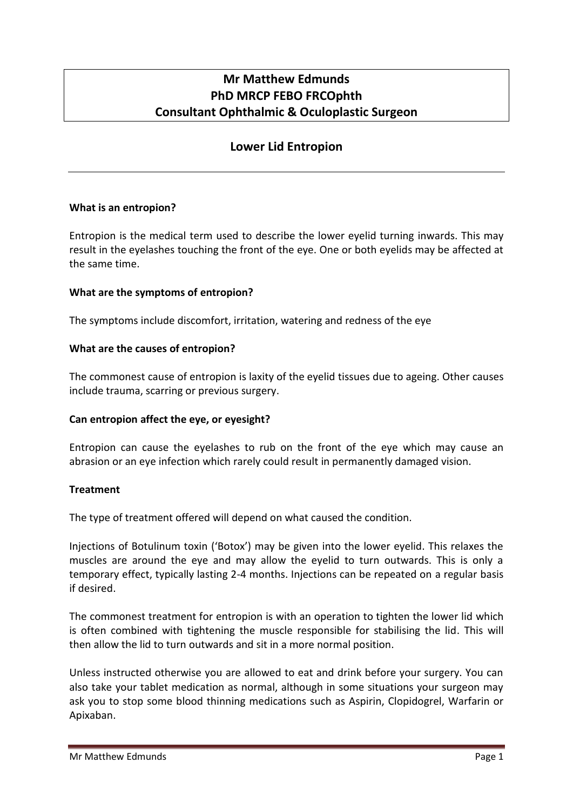# **Mr Matthew Edmunds PhD MRCP FEBO FRCOphth Consultant Ophthalmic & Oculoplastic Surgeon**

## **Lower Lid Entropion**

## **What is an entropion?**

Entropion is the medical term used to describe the lower eyelid turning inwards. This may result in the eyelashes touching the front of the eye. One or both eyelids may be affected at the same time.

## **What are the symptoms of entropion?**

The symptoms include discomfort, irritation, watering and redness of the eye

## **What are the causes of entropion?**

The commonest cause of entropion is laxity of the eyelid tissues due to ageing. Other causes include trauma, scarring or previous surgery.

#### **Can entropion affect the eye, or eyesight?**

Entropion can cause the eyelashes to rub on the front of the eye which may cause an abrasion or an eye infection which rarely could result in permanently damaged vision.

#### **Treatment**

The type of treatment offered will depend on what caused the condition.

Injections of Botulinum toxin ('Botox') may be given into the lower eyelid. This relaxes the muscles are around the eye and may allow the eyelid to turn outwards. This is only a temporary effect, typically lasting 2-4 months. Injections can be repeated on a regular basis if desired.

The commonest treatment for entropion is with an operation to tighten the lower lid which is often combined with tightening the muscle responsible for stabilising the lid. This will then allow the lid to turn outwards and sit in a more normal position.

Unless instructed otherwise you are allowed to eat and drink before your surgery. You can also take your tablet medication as normal, although in some situations your surgeon may ask you to stop some blood thinning medications such as Aspirin, Clopidogrel, Warfarin or Apixaban.